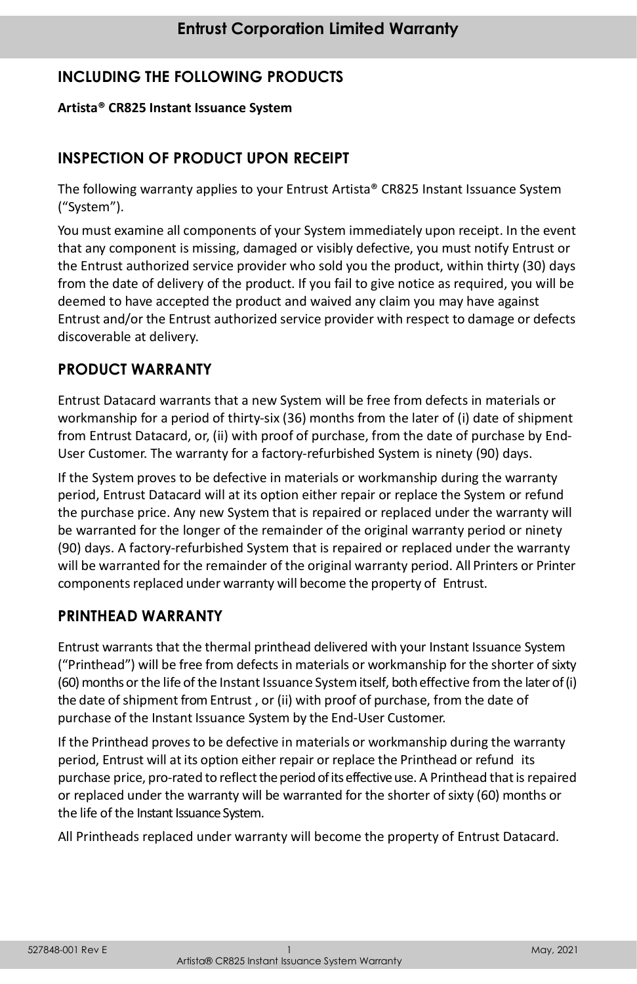# **INCLUDING THE FOLLOWING PRODUCTS**

#### **Artista® CR825 Instant Issuance System**

## **INSPECTION OF PRODUCT UPON RECEIPT**

The following warranty applies to your Entrust Artista® CR825 Instant Issuance System ("System").

You must examine all components of your System immediately upon receipt. In the event that any component is missing, damaged or visibly defective, you must notify Entrust or the Entrust authorized service provider who sold you the product, within thirty (30) days from the date of delivery of the product. If you fail to give notice as required, you will be deemed to have accepted the product and waived any claim you may have against Entrust and/or the Entrust authorized service provider with respect to damage or defects discoverable at delivery.

## **PRODUCT WARRANTY**

Entrust Datacard warrants that a new System will be free from defects in materials or workmanship for a period of thirty-six (36) months from the later of (i) date of shipment from Entrust Datacard, or, (ii) with proof of purchase, from the date of purchase by End-User Customer. The warranty for a factory-refurbished System is ninety (90) days.

If the System proves to be defective in materials or workmanship during the warranty period, Entrust Datacard will at its option either repair or replace the System or refund the purchase price. Any new System that is repaired or replaced under the warranty will be warranted for the longer of the remainder of the original warranty period or ninety (90) days. A factory-refurbished System that is repaired or replaced under the warranty will be warranted for the remainder of the original warranty period. All Printers or Printer components replaced under warranty will become the property of Entrust.

#### **PRINTHEAD WARRANTY**

Entrust warrants that the thermal printhead delivered with your Instant Issuance System ("Printhead") will be free from defects in materials or workmanship for the shorter of sixty (60) months or the life of the Instant Issuance System itself, both effective from the later of (i) the date of shipment from Entrust, or (ii) with proof of purchase, from the date of purchase of the Instant Issuance System by the End-User Customer.

If the Printhead proves to be defective in materials or workmanship during the warranty period, Entrust will at its option either repair or replace the Printhead or refund its purchase price, pro-rated to reflect the period of its effective use. A Printhead that is repaired or replaced under the warranty will be warranted for the shorter of sixty (60) months or the life of the Instant Issuance System.

All Printheads replaced under warranty will become the property of Entrust Datacard.